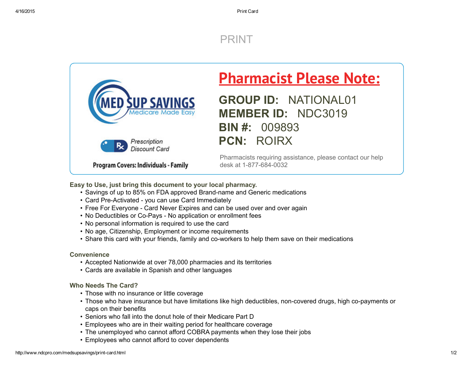## [PRINT](javascript:window.print())



# **Pharmacist Please Note:**

GROUP ID: NATIONAL01 MEMBER ID: NDC3019 BIN #: 009893 PCN: ROIRX

Pharmacists requiring assistance, please contact our help desk at 1-877-684-0032

Easy to Use, just bring this document to your local pharmacy.

- Savings of up to 85% on FDA approved Brand-name and Generic medications
- Card Pre-Activated you can use Card Immediately
- Free For Everyone Card Never Expires and can be used over and over again
- No Deductibles or Co-Pays No application or enrollment fees
- No personal information is required to use the card
- No age, Citizenship, Employment or income requirements
- Share this card with your friends, family and co-workers to help them save on their medications

#### **Convenience**

- Accepted Nationwide at over 78,000 pharmacies and its territories
- Cards are available in Spanish and other languages

### Who Needs The Card?

- Those with no insurance or little coverage
- Those who have insurance but have limitations like high deductibles, non-covered drugs, high co-payments or caps on their benefits
- Seniors who fall into the donut hole of their Medicare Part D
- Employees who are in their waiting period for healthcare coverage
- The unemployed who cannot afford COBRA payments when they lose their jobs
- Employees who cannot afford to cover dependents